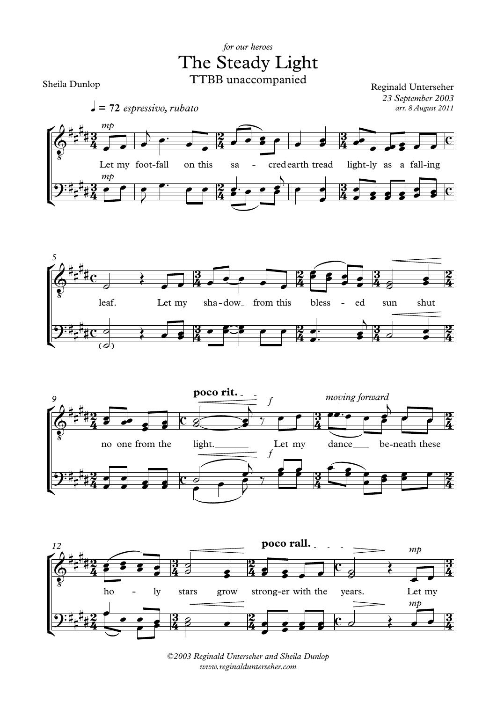## The Steady Light *for our heroes* TTBB unaccompanied

Sheila Dunlop

*arr. 8 August 2011* Reginald Unterseher *23 September 2003*









*©2003 Reginald Unterseher and Sheila Dunlop www.reginaldunterseher.com*